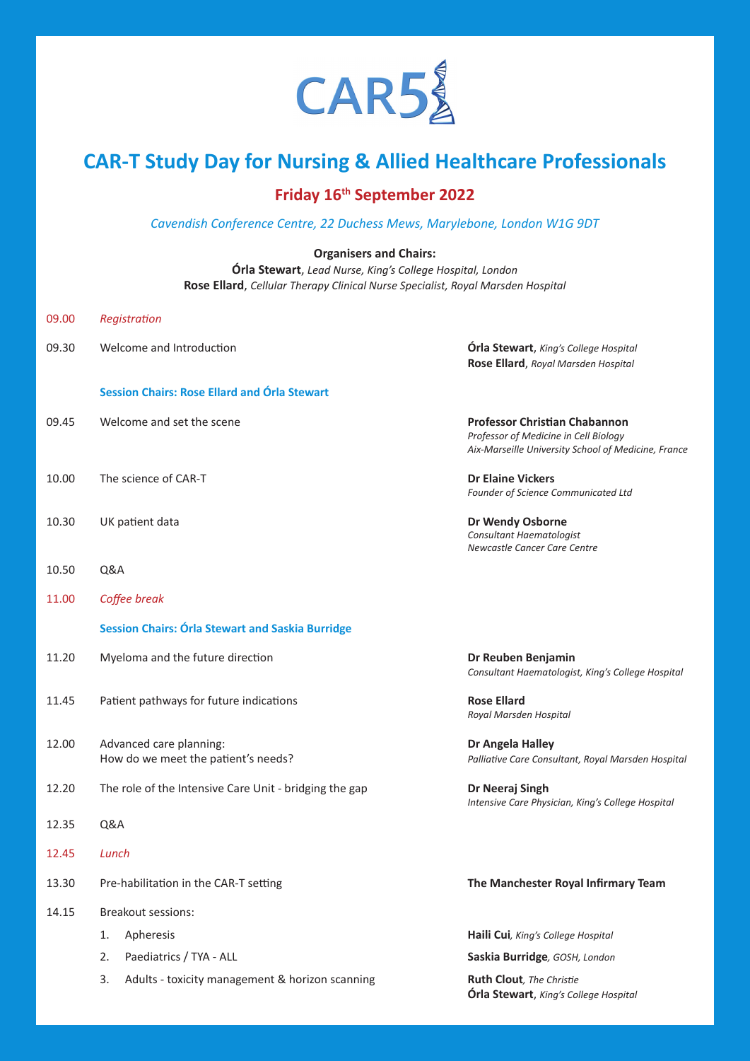

# **CAR-T Study Day for Nursing & Allied Healthcare Professionals**

## **Friday 16th September 2022**

*Cavendish Conference Centre, 22 Duchess Mews, Marylebone, London W1G 9DT*

#### **Organisers and Chairs:**

**Órla Stewart**, *Lead Nurse, King's College Hospital, London* **Rose Ellard**, *Cellular Therapy Clinical Nurse Specialist, Royal Marsden Hospital*

| 09.00 | Registration                                                   |                                                                                                                                      |
|-------|----------------------------------------------------------------|--------------------------------------------------------------------------------------------------------------------------------------|
| 09.30 | Welcome and Introduction                                       | <b>Órla Stewart</b> , King's College Hospital<br>Rose Ellard, Royal Marsden Hospital                                                 |
|       | <b>Session Chairs: Rose Ellard and Órla Stewart</b>            |                                                                                                                                      |
| 09.45 | Welcome and set the scene                                      | <b>Professor Christian Chabannon</b><br>Professor of Medicine in Cell Biology<br>Aix-Marseille University School of Medicine, France |
| 10.00 | The science of CAR-T                                           | <b>Dr Elaine Vickers</b><br>Founder of Science Communicated Ltd                                                                      |
| 10.30 | UK patient data                                                | <b>Dr Wendy Osborne</b><br>Consultant Haematologist<br>Newcastle Cancer Care Centre                                                  |
| 10.50 | Q&A                                                            |                                                                                                                                      |
| 11.00 | Coffee break                                                   |                                                                                                                                      |
|       | <b>Session Chairs: Órla Stewart and Saskia Burridge</b>        |                                                                                                                                      |
| 11.20 | Myeloma and the future direction                               | Dr Reuben Benjamin<br>Consultant Haematologist, King's College Hospital                                                              |
| 11.45 | Patient pathways for future indications                        | <b>Rose Ellard</b><br>Royal Marsden Hospital                                                                                         |
| 12.00 | Advanced care planning:<br>How do we meet the patient's needs? | Dr Angela Halley<br>Palliative Care Consultant, Royal Marsden Hospital                                                               |
| 12.20 | The role of the Intensive Care Unit - bridging the gap         | Dr Neeraj Singh<br>Intensive Care Physician, King's College Hospital                                                                 |
| 12.35 | Q&A                                                            |                                                                                                                                      |
| 12.45 | Lunch                                                          |                                                                                                                                      |
| 13.30 | Pre-habilitation in the CAR-T setting                          | The Manchester Royal Infirmary Team                                                                                                  |
| 14.15 | Breakout sessions:                                             |                                                                                                                                      |
|       | Apheresis<br>1.                                                | Haili Cui, King's College Hospital                                                                                                   |
|       | Paediatrics / TYA - ALL<br>2.                                  | Saskia Burridge, GOSH, London                                                                                                        |
|       | Adults - toxicity management & horizon scanning<br>3.          | Ruth Clout, The Christie<br><b>Órla Stewart</b> , King's College Hospital                                                            |